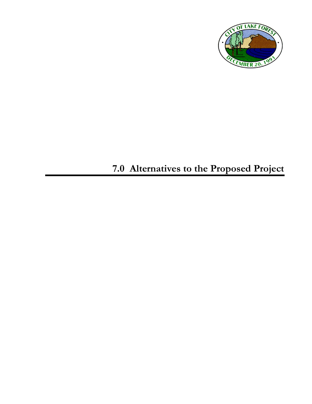

# **7.0 Alternatives to the Proposed Project**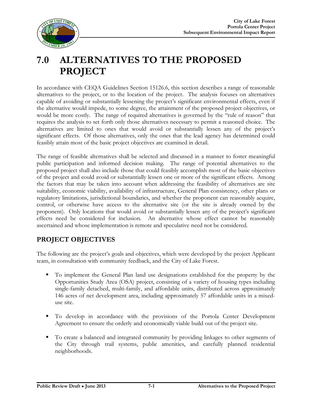

# **7.0 ALTERNATIVES TO THE PROPOSED PROJECT**

In accordance with CEQA Guidelines Section 15126.6, this section describes a range of reasonable alternatives to the project, or to the location of the project. The analysis focuses on alternatives capable of avoiding or substantially lessening the project's significant environmental effects, even if the alternative would impede, to some degree, the attainment of the proposed project objectives, or would be more costly. The range of required alternatives is governed by the "rule of reason" that requires the analysis to set forth only those alternatives necessary to permit a reasoned choice. The alternatives are limited to ones that would avoid or substantially lessen any of the project's significant effects. Of those alternatives, only the ones that the lead agency has determined could feasibly attain most of the basic project objectives are examined in detail.

The range of feasible alternatives shall be selected and discussed in a manner to foster meaningful public participation and informed decision making. The range of potential alternatives to the proposed project shall also include those that could feasibly accomplish most of the basic objectives of the project and could avoid or substantially lessen one or more of the significant effects. Among the factors that may be taken into account when addressing the feasibility of alternatives are site suitability, economic viability, availability of infrastructure, General Plan consistency, other plans or regulatory limitations, jurisdictional boundaries, and whether the proponent can reasonably acquire, control, or otherwise have access to the alternative site (or the site is already owned by the proponent). Only locations that would avoid or substantially lessen any of the project's significant effects need be considered for inclusion. An alternative whose effect cannot be reasonably ascertained and whose implementation is remote and speculative need not be considered.

#### **PROJECT OBJECTIVES**

The following are the project's goals and objectives, which were developed by the project Applicant team, in consultation with community feedback, and the City of Lake Forest.

- To implement the General Plan land use designations established for the property by the Opportunities Study Area (OSA) project, consisting of a variety of housing types including single-family detached, multi-family, and affordable units, distributed across approximately 146 acres of net development area, including approximately 57 affordable units in a mixeduse site.
- To develop in accordance with the provisions of the Portola Center Development Agreement to ensure the orderly and economically viable build out of the project site.
- To create a balanced and integrated community by providing linkages to other segments of the City through trail systems, public amenities, and carefully planned residential neighborhoods.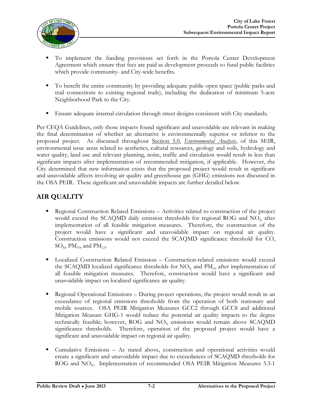

- To implement the funding provisions set forth in the Portola Center Development Agreement which ensure that fees are paid as development proceeds to fund public facilities which provide community- and City-wide benefits.
- To benefit the entire community by providing adequate public open space (public parks and trail connections to existing regional trails), including the dedication of minimum 5-acre Neighborhood Park to the City.
- **Ensure adequate internal circulation through street designs consistent with City standards.**

Per CEQA Guidelines, only those impacts found significant and unavoidable are relevant in making the final determination of whether an alternative is environmentally superior or inferior to the proposed project. As discussed throughout Section 5.0, *Environmental Analysis*, of this SEIR, environmental issue areas related to aesthetics, cultural resources, geology and soils, hydrology and water quality, land use and relevant planning, noise, traffic and circulation would result in less than significant impacts after implementation of recommended mitigation, if applicable. However, the City determined that new information exists that the proposed project would result in significant and unavoidable affects involving air quality and greenhouse gas (GHG) emissions not discussed in the OSA PEIR. These significant and unavoidable impacts are further detailed below.

#### **AIR QUALITY**

- Regional Construction Related Emissions Activities related to construction of the project would exceed the SCAQMD daily emission thresholds for regional ROG and  $NO<sub>x</sub>$  after implementation of all feasible mitigation measures. Therefore, the construction of the project would have a significant and unavoidable impact on regional air quality. Construction emissions would not exceed the SCAQMD significance threshold for CO,  $\text{SO}_{\text{X}}$ , PM<sub>10</sub>, and PM<sub>2.5</sub>.
- Localized Construction Related Emission Construction-related emissions would exceed the SCAQMD localized significance thresholds for  $NO<sub>x</sub>$  and  $PM<sub>10</sub>$  after implementation of all feasible mitigation measures. Therefore, construction would have a significant and unavoidable impact on localized significance air quality.
- Regional Operational Emissions During project operations, the project would result in an exceedance of regional emissions thresholds from the operation of both stationary and mobile sources. OSA PEIR Mitigation Measures GCC2 through GCC8 and additional Mitigation Measure GHG-1 would reduce the potential air quality impacts to the degree technically feasible; however, ROG and  $NO<sub>x</sub>$  emissions would remain above SCAQMD significance thresholds. Therefore, operation of the proposed project would have a significant and unavoidable impact on regional air quality.
- Cumulative Emissions As stated above, construction and operational activities would create a significant and unavoidable impact due to exceedances of SCAQMD thresholds for  $ROG$  and  $NO<sub>x</sub>$ . Implementation of recommended OSA PEIR Mitigation Measures 3.3-1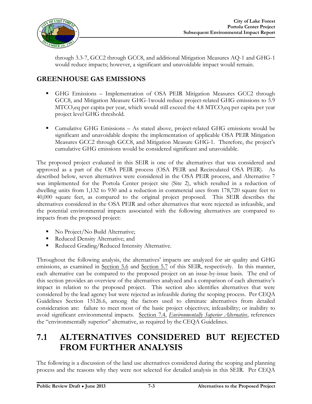

through 3.3-7, GCC2 through GCC8, and additional Mitigation Measures AQ-1 and GHG-1 would reduce impacts; however, a significant and unavoidable impact would remain.

#### **GREENHOUSE GAS EMISSIONS**

- GHG Emissions Implementation of OSA PEIR Mitigation Measures GCC2 through GCC8, and Mitigation Measure GHG-1would reduce project-related GHG emissions to 5.9  $MTCO<sub>2</sub>$  per capita per year, which would still exceed the 4.8 MTCO $_{2}$ eq per capita per year project level GHG threshold.
- Cumulative GHG Emissions As stated above, project-related GHG emissions would be significant and unavoidable despite the implementation of applicable OSA PEIR Mitigation Measures GCC2 through GCC8, and Mitigation Measure GHG-1. Therefore, the project's cumulative GHG emissions would be considered significant and unavoidable.

The proposed project evaluated in this SEIR is one of the alternatives that was considered and approved as a part of the OSA PEIR process (OSA PEIR and Recirculated OSA PEIR). As described below, seven alternatives were considered in the OSA PEIR process, and Alternative 7 was implemented for the Portola Center project site (Site 2), which resulted in a reduction of dwelling units from 1,132 to 930 and a reduction in commercial uses from 178,720 square feet to 40,000 square feet, as compared to the original project proposed. This SEIR describes the alternatives considered in the OSA PEIR and other alternatives that were rejected as infeasible, and the potential environmental impacts associated with the following alternatives are compared to impacts from the proposed project:

- No Project/No Build Alternative;
- Reduced Density Alternative; and
- Reduced Grading/Reduced Intensity Alternative.

Throughout the following analysis, the alternatives' impacts are analyzed for air quality and GHG emissions, as examined in Section 5.6 and Section 5.7 of this SEIR, respectively. In this manner, each alternative can be compared to the proposed project on an issue-by-issue basis. The end of this section provides an overview of the alternatives analyzed and a comparison of each alternative's impact in relation to the proposed project. This section also identifies alternatives that were considered by the lead agency but were rejected as infeasible during the scoping process. Per CEQA Guidelines Section 15126.6, among the factors used to eliminate alternatives from detailed consideration are: failure to meet most of the basic project objectives; infeasibility; or inability to avoid significant environmental impacts. Section 7.4, *Environmentally Superior Alternative*, references the "environmentally superior" alternative, as required by the CEQA Guidelines.

## **7.1 ALTERNATIVES CONSIDERED BUT REJECTED FROM FURTHER ANALYSIS**

The following is a discussion of the land use alternatives considered during the scoping and planning process and the reasons why they were not selected for detailed analysis in this SEIR. Per CEQA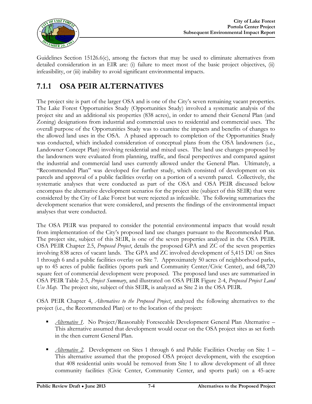

Guidelines Section 15126.6(c), among the factors that may be used to eliminate alternatives from detailed consideration in an EIR are: (i) failure to meet most of the basic project objectives, (ii) infeasibility, or (iii) inability to avoid significant environmental impacts.

## **7.1.1 OSA PEIR ALTERNATIVES**

The project site is part of the larger OSA and is one of the City's seven remaining vacant properties. The Lake Forest Opportunities Study (Opportunities Study) involved a systematic analysis of the project site and an additional six properties (838 acres), in order to amend their General Plan (and Zoning) designations from industrial and commercial uses to residential and commercial uses. The overall purpose of the Opportunities Study was to examine the impacts and benefits of changes to the allowed land uses in the OSA. A phased approach to completion of the Opportunities Study was conducted, which included consideration of conceptual plans from the OSA landowners (i.e., Landowner Concept Plan) involving residential and mixed uses. The land use changes proposed by the landowners were evaluated from planning, traffic, and fiscal perspectives and compared against the industrial and commercial land uses currently allowed under the General Plan. Ultimately, a "Recommended Plan" was developed for further study, which consisted of development on six parcels and approval of a public facilities overlay on a portion of a seventh parcel. Collectively, the systematic analyses that were conducted as part of the OSA and OSA PEIR discussed below encompass the alternative development scenarios for the project site (subject of this SEIR) that were considered by the City of Lake Forest but were rejected as infeasible. The following summarizes the development scenarios that were considered, and presents the findings of the environmental impact analyses that were conducted.

The OSA PEIR was prepared to consider the potential environmental impacts that would result from implementation of the City's proposed land use changes pursuant to the Recommended Plan. The project site, subject of this SEIR, is one of the seven properties analyzed in the OSA PEIR. OSA PEIR Chapter 2.5, *Proposed Project*, details the proposed GPA and ZC of the seven properties involving 838 acres of vacant lands. The GPA and ZC involved development of 5,415 DU on Sites 1 through 6 and a public facilities overlay on Site 7. Approximately 50 acres of neighborhood parks, up to 45 acres of public facilities (sports park and Community Center/Civic Center), and 648,720 square feet of commercial development were proposed. The proposed land uses are summarized in OSA PEIR Table 2-5, *Project Summary*, and illustrated on OSA PEIR Figure 2-4, *Proposed Project Land Use Map*. The project site, subject of this SEIR, is analyzed as Site 2 in the OSA PEIR.

OSA PEIR Chapter 4, *Alternatives to the Proposed Project*, analyzed the following alternatives to the project (i.e., the Recommended Plan) or to the location of the project:

- *Alternative 1*. No Project/Reasonably Foreseeable Development General Plan Alternative This alternative assumed that development would occur on the OSA project sites as set forth in the then current General Plan.
- *Alternative 2*. Development on Sites 1 through 6 and Public Facilities Overlay on Site 1 This alternative assumed that the proposed OSA project development, with the exception that 408 residential units would be removed from Site 1 to allow development of all three community facilities (Civic Center, Community Center, and sports park) on a 45-acre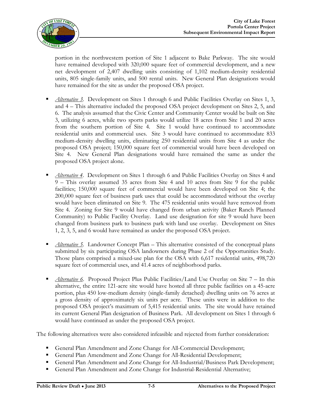

portion in the northwestern portion of Site 1 adjacent to Bake Parkway. The site would have remained developed with 320,000 square feet of commercial development, and a new net development of 2,407 dwelling units consisting of 1,102 medium-density residential units, 805 single-family units, and 500 rental units. New General Plan designations would have remained for the site as under the proposed OSA project.

- *Alternative 3.* Development on Sites 1 through 6 and Public Facilities Overlay on Sites 1, 3, and 4 – This alternative included the proposed OSA project development on Sites 2, 5, and 6. The analysis assumed that the Civic Center and Community Center would be built on Site 3, utilizing 6 acres, while two sports parks would utilize 18 acres from Site 1 and 20 acres from the southern portion of Site 4. Site 1 would have continued to accommodate residential units and commercial uses. Site 3 would have continued to accommodate 833 medium-density dwelling units, eliminating 250 residential units from Site 4 as under the proposed OSA project; 150,000 square feet of commercial would have been developed on Site 4. New General Plan designations would have remained the same as under the proposed OSA project alone.
- *Alternative 4*. Development on Sites 1 through 6 and Public Facilities Overlay on Sites 4 and 9 – This overlay assumed 35 acres from Site 4 and 10 acres from Site 9 for the public facilities; 150,000 square feet of commercial would have been developed on Site 4; the 200,000 square feet of business park uses that could be accommodated without the overlay would have been eliminated on Site 9. The 475 residential units would have removed from Site 4. Zoning for Site 9 would have changed from urban activity (Baker Ranch Planned Community) to Public Facility Overlay. Land use designation for site 9 would have been changed from business park to business park with land use overlay. Development on Sites 1, 2, 3, 5, and 6 would have remained as under the proposed OSA project.
- *Alternative 5*. Landowner Concept Plan This alternative consisted of the conceptual plans submitted by six participating OSA landowners during Phase 2 of the Opportunities Study. Those plans comprised a mixed-use plan for the OSA with 6,617 residential units, 498,720 square feet of commercial uses, and 41.4 acres of neighborhood parks.
- *Alternative 6*. Proposed Project Plus Public Facilities/Land Use Overlay on Site 7 In this alternative, the entire 121-acre site would have hosted all three public facilities on a 45-acre portion, plus 450 low-medium density (single-family detached) dwelling units on 76 acres at a gross density of approximately six units per acre. These units were in addition to the proposed OSA project's maximum of 5,415 residential units. The site would have retained its current General Plan designation of Business Park. All development on Sites 1 through 6 would have continued as under the proposed OSA project.

The following alternatives were also considered infeasible and rejected from further consideration:

- General Plan Amendment and Zone Change for All-Commercial Development;
- General Plan Amendment and Zone Change for All-Residential Development;
- General Plan Amendment and Zone Change for All-Industrial/Business Park Development;
- General Plan Amendment and Zone Change for Industrial-Residential Alternative;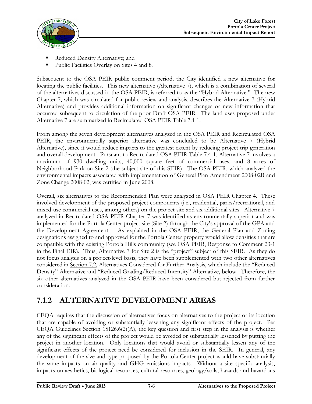

- Reduced Density Alternative; and
- Public Facilities Overlay on Sites 4 and 8.

Subsequent to the OSA PEIR public comment period, the City identified a new alternative for locating the public facilities. This new alternative (Alternative 7), which is a combination of several of the alternatives discussed in the OSA PEIR, is referred to as the "Hybrid Alternative." The new Chapter 7, which was circulated for public review and analysis, describes the Alternative 7 (Hybrid Alternative) and provides additional information on significant changes or new information that occurred subsequent to circulation of the prior Draft OSA PEIR. The land uses proposed under Alternative 7 are summarized in Recirculated OSA PEIR Table 7.4-1.

From among the seven development alternatives analyzed in the OSA PEIR and Recirculated OSA PEIR, the environmentally superior alternative was concluded to be Alternative 7 (Hybrid Alternative), since it would reduce impacts to the greatest extent by reducing project trip generation and overall development. Pursuant to Recirculated OSA PEIR Table 7.4-1, Alternative 7 involves a maximum of 930 dwelling units, 40,000 square feet of commercial uses, and 8 acres of Neighborhood Park on Site 2 (the subject site of this SEIR). The OSA PEIR, which analyzed the environmental impacts associated with implementation of General Plan Amendment 2008-02B and Zone Change 2008-02, was certified in June 2008.

Overall, six alternatives to the Recommended Plan were analyzed in OSA PEIR Chapter 4. These involved development of the proposed project components (i.e., residential, parks/recreational, and mixed-use commercial uses, among others) on the project site and six additional sites. Alternative 7 analyzed in Recirculated OSA PEIR Chapter 7 was identified as environmentally superior and was implemented for the Portola Center project site (Site 2) through the City's approval of the GPA and the Development Agreement. As explained in the OSA PEIR, the General Plan and Zoning designations assigned to and approved for the Portola Center property would allow densities that are compatible with the existing Portola Hills community (see OSA PEIR, Response to Comment 23-1 in the Final EIR). Thus, Alternative 7 for Site 2 is the "project" subject of this SEIR. As they do not focus analysis on a project-level basis, they have been supplemented with two other alternatives considered in Section 7.2, Alternatives Considered for Further Analysis, which include the "Reduced Density" Alternative and "Reduced Grading/Reduced Intensity" Alternative, below. Therefore, the six other alternatives analyzed in the OSA PEIR have been considered but rejected from further consideration.

## **7.1.2 ALTERNATIVE DEVELOPMENT AREAS**

CEQA requires that the discussion of alternatives focus on alternatives to the project or its location that are capable of avoiding or substantially lessening any significant effects of the project. Per CEQA Guidelines Section 15126.6(2)(A), the key question and first step in the analysis is whether any of the significant effects of the project would be avoided or substantially lessened by putting the project in another location. Only locations that would avoid or substantially lessen any of the significant effects of the project need be considered for inclusion in the SEIR. In general, any development of the size and type proposed by the Portola Center project would have substantially the same impacts on air quality and GHG emissions impacts. Without a site specific analysis, impacts on aesthetics, biological resources, cultural resources, geology/soils, hazards and hazardous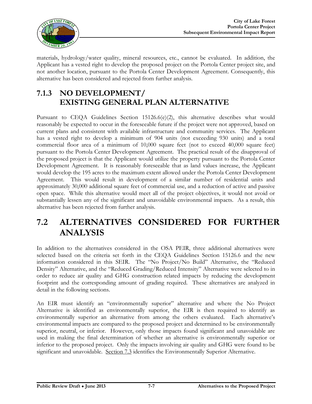

materials, hydrology/water quality, mineral resources, etc., cannot be evaluated. In addition, the Applicant has a vested right to develop the proposed project on the Portola Center project site, and not another location, pursuant to the Portola Center Development Agreement. Consequently, this alternative has been considered and rejected from further analysis.

## **7.1.3 NO DEVELOPMENT/ EXISTING GENERAL PLAN ALTERNATIVE**

Pursuant to CEQA Guidelines Section 15126.6(e)(2), this alternative describes what would reasonably be expected to occur in the foreseeable future if the project were not approved, based on current plans and consistent with available infrastructure and community services. The Applicant has a vested right to develop a minimum of 904 units (not exceeding 930 units) and a total commercial floor area of a minimum of 10,000 square feet (not to exceed 40,000 square feet) pursuant to the Portola Center Development Agreement. The practical result of the disapproval of the proposed project is that the Applicant would utilize the property pursuant to the Portola Center Development Agreement. It is reasonably foreseeable that as land values increase, the Applicant would develop the 195 acres to the maximum extent allowed under the Portola Center Development Agreement. This would result in development of a similar number of residential units and approximately 30,000 additional square feet of commercial use, and a reduction of active and passive open space. While this alternative would meet all of the project objectives, it would not avoid or substantially lessen any of the significant and unavoidable environmental impacts. As a result, this alternative has been rejected from further analysis.

## **7.2 ALTERNATIVES CONSIDERED FOR FURTHER ANALYSIS**

In addition to the alternatives considered in the OSA PEIR, three additional alternatives were selected based on the criteria set forth in the CEQA Guidelines Section 15126.6 and the new information considered in this SEIR. The "No Project/No Build" Alternative, the "Reduced Density" Alternative, and the "Reduced Grading/Reduced Intensity" Alternative were selected to in order to reduce air quality and GHG construction related impacts by reducing the development footprint and the corresponding amount of grading required. These alternatives are analyzed in detail in the following sections.

An EIR must identify an "environmentally superior" alternative and where the No Project Alternative is identified as environmentally superior, the EIR is then required to identify as environmentally superior an alternative from among the others evaluated. Each alternative's environmental impacts are compared to the proposed project and determined to be environmentally superior, neutral, or inferior. However, only those impacts found significant and unavoidable are used in making the final determination of whether an alternative is environmentally superior or inferior to the proposed project. Only the impacts involving air quality and GHG were found to be significant and unavoidable. Section 7.3 identifies the Environmentally Superior Alternative.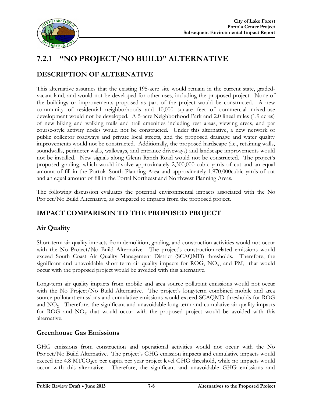

## **7.2.1 "NO PROJECT/NO BUILD" ALTERNATIVE**

#### **DESCRIPTION OF ALTERNATIVE**

This alternative assumes that the existing 195-acre site would remain in the current state, gradedvacant land, and would not be developed for other uses, including the proposed project. None of the buildings or improvements proposed as part of the project would be constructed. A new community of residential neighborhoods and 10,000 square feet of commercial mixed-use development would not be developed. A 5-acre Neighborhood Park and 2.0 lineal miles (1.9 acres) of new hiking and walking trails and trail amenities including rest areas, viewing areas, and par course-style activity nodes would not be constructed. Under this alternative, a new network of public collector roadways and private local streets, and the proposed drainage and water quality improvements would not be constructed. Additionally, the proposed hardscape (i.e., retaining walls, soundwalls, perimeter walls, walkways, and entrance driveways) and landscape improvements would not be installed. New signals along Glenn Ranch Road would not be constructed. The project's proposed grading, which would involve approximately 2,300,000 cubic yards of cut and an equal amount of fill in the Portola South Planning Area and approximately 1,970,000cubic yards of cut and an equal amount of fill in the Portal Northeast and Northwest Planning Areas.

The following discussion evaluates the potential environmental impacts associated with the No Project/No Build Alternative, as compared to impacts from the proposed project.

#### **IMPACT COMPARISON TO THE PROPOSED PROJECT**

#### **Air Quality**

Short-term air quality impacts from demolition, grading, and construction activities would not occur with the No Project/No Build Alternative. The project's construction-related emissions would exceed South Coast Air Quality Management District (SCAQMD) thresholds. Therefore, the significant and unavoidable short-term air quality impacts for ROG,  $NO<sub>x</sub>$ , and  $PM<sub>10</sub>$  that would occur with the proposed project would be avoided with this alternative.

Long-term air quality impacts from mobile and area source pollutant emissions would not occur with the No Project/No Build Alternative. The project's long-term combined mobile and area source pollutant emissions and cumulative emissions would exceed SCAQMD thresholds for ROG and  $NO<sub>x</sub>$ . Therefore, the significant and unavoidable long-term and cumulative air quality impacts for ROG and  $NO<sub>x</sub>$  that would occur with the proposed project would be avoided with this alternative.

#### **Greenhouse Gas Emissions**

GHG emissions from construction and operational activities would not occur with the No Project/No Build Alternative. The project's GHG emission impacts and cumulative impacts would exceed the 4.8 MTCO<sub>2</sub>eq per capita per year project level GHG threshold, while no impacts would occur with this alternative. Therefore, the significant and unavoidable GHG emissions and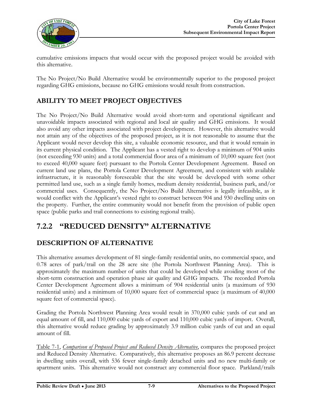

cumulative emissions impacts that would occur with the proposed project would be avoided with this alternative.

The No Project/No Build Alternative would be environmentally superior to the proposed project regarding GHG emissions, because no GHG emissions would result from construction.

### **ABILITY TO MEET PROJECT OBJECTIVES**

The No Project/No Build Alternative would avoid short-term and operational significant and unavoidable impacts associated with regional and local air quality and GHG emissions. It would also avoid any other impacts associated with project development. However, this alternative would not attain any of the objectives of the proposed project, as it is not reasonable to assume that the Applicant would never develop this site, a valuable economic resource, and that it would remain in its current physical condition. The Applicant has a vested right to develop a minimum of 904 units (not exceeding 930 units) and a total commercial floor area of a minimum of 10,000 square feet (not to exceed 40,000 square feet) pursuant to the Portola Center Development Agreement. Based on current land use plans, the Portola Center Development Agreement, and consistent with available infrastructure, it is reasonably foreseeable that the site would be developed with some other permitted land use, such as a single family homes, medium density residential, business park, and/or commercial uses. Consequently, the No Project/No Build Alternative is legally infeasible, as it would conflict with the Applicant's vested right to construct between 904 and 930 dwelling units on the property. Further, the entire community would not benefit from the provision of public open space (public parks and trail connections to existing regional trails).

## **7.2.2 "REDUCED DENSITY" ALTERNATIVE**

#### **DESCRIPTION OF ALTERNATIVE**

This alternative assumes development of 81 single-family residential units, no commercial space, and 0.78 acres of park/trail on the 28 acre site (the Portola Northwest Planning Area). This is approximately the maximum number of units that could be developed while avoiding most of the short-term construction and operation phase air quality and GHG impacts. The recorded Portola Center Development Agreement allows a minimum of 904 residential units (a maximum of 930 residential units) and a minimum of 10,000 square feet of commercial space (a maximum of 40,000 square feet of commercial space).

Grading the Portola Northwest Planning Area would result in 370,000 cubic yards of cut and an equal amount of fill, and 110,000 cubic yards of export and 110,000 cubic yards of import. Overall, this alternative would reduce grading by approximately 3.9 million cubic yards of cut and an equal amount of fill.

Table 7-1, *Comparison of Proposed Project and Reduced Density Alternative*, compares the proposed project and Reduced Density Alternative. Comparatively, this alternative proposes an 86.9 percent decrease in dwelling units overall, with 536 fewer single-family detached units and no new multi-family or apartment units. This alternative would not construct any commercial floor space. Parkland/trails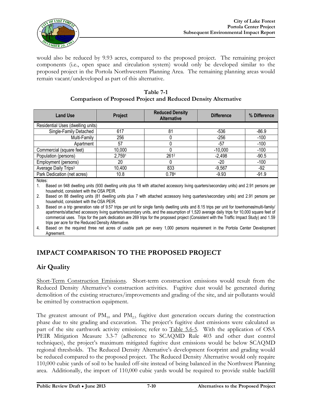

would also be reduced by 9.93 acres, compared to the proposed project. The remaining project components (i.e., open space and circulation system) would only be developed similar to the proposed project in the Portola Northwestern Planning Area. The remaining planning areas would remain vacant/undeveloped as part of this alternative.

| Table 7-1                                                             |  |  |  |  |  |  |
|-----------------------------------------------------------------------|--|--|--|--|--|--|
| <b>Comparison of Proposed Project and Reduced Density Alternative</b> |  |  |  |  |  |  |

| <b>Land Use</b>                         | Project | <b>Reduced Density</b><br><b>Alternative</b> | <b>Difference</b> | % Difference |
|-----------------------------------------|---------|----------------------------------------------|-------------------|--------------|
| Residential Uses (dwelling units)       |         |                                              |                   |              |
| Single-Family Detached                  | 617     | 81                                           | $-536$            | $-86.9$      |
| Multi-Family                            | 256     |                                              | $-256$            | $-100$       |
| Apartment                               | 57      |                                              | -57               | $-100$       |
| Commercial (square feet)                | 10,000  |                                              | $-10,000$         | $-100$       |
| Population (persons)                    | 2,7591  | 2612                                         | $-2,498$          | $-90.5$      |
| Employment (persons)                    | 20      | 0                                            | $-20$             | $-100$       |
| Average Daily Trips <sup>3</sup>        | 10,400  | 833                                          | $-9,567$          | $-92$        |
| Park Dedication (net acres)<br>$\cdots$ | 10.8    | 0.784                                        | $-9.93$           | $-91.9$      |

Notes:

1. Based on 948 dwelling units (930 dwelling units plus 18 with attached accessory living quarters/secondary units) and 2.91 persons per household, consistent with the OSA PEIR.

2. Based on 88 dwelling units (81 dwelling units plus 7 with attached accessory living quarters/secondary units) and 2.91 persons per household, consistent with the OSA PEIR.

3. Based on a trip generation rate of 9.57 trips per unit for single family dwelling units and 8.15 trips per unit for townhomes/multi-family/ apartments/attached accessory living quarters/secondary units, and the assumption of 1,520 average daily trips for 10,000 square feet of commercial uses. Trips for the park dedication are 269 trips for the proposed project (Consistent with the Traffic Impact Study) and 1.59 trips per acre for the Reduced Density Alternative.

4. Based on the required three net acres of usable park per every 1,000 persons requirement in the Portola Center Development Agreement.

#### **IMPACT COMPARISON TO THE PROPOSED PROJECT**

#### **Air Quality**

Short-Term Construction Emissions. Short-term construction emissions would result from the Reduced Density Alternative's construction activities. Fugitive dust would be generated during demolition of the existing structures/improvements and grading of the site, and air pollutants would be emitted by construction equipment.

The greatest amount of  $PM_{10}$  and  $PM_{2.5}$  fugitive dust generation occurs during the construction phase due to site grading and excavation. The project's fugitive dust emissions were calculated as part of the site earthwork activity emissions; refer to Table 5.6-5. With the application of OSA PEIR Mitigation Measure 3.3-7 (adherence to SCAQMD Rule 403 and other dust control techniques), the project's maximum mitigated fugitive dust emissions would be below SCAQMD regional thresholds. The Reduced Density Alternative's development footprint and grading would be reduced compared to the proposed project. The Reduced Density Alternative would only require 110,000 cubic yards of soil to be hauled off-site instead of being balanced in the Northwest Planning area. Additionally, the import of 110,000 cubic yards would be required to provide stable backfill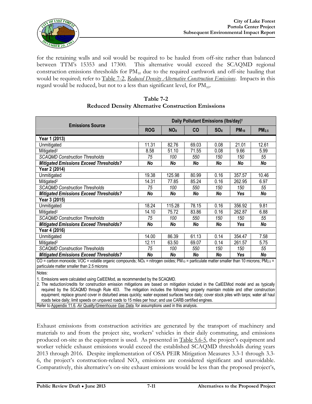

for the retaining walls and soil would be required to be hauled from off-site rather than balanced between TTM's 15353 and 17300. This alternative would exceed the SCAQMD regional construction emissions thresholds for  $PM_{10}$  due to the required earthwork and off-site hauling that would be required; refer to Table 7-2, *Reduced Density Alternative Construction Emissions*. Impacts in this regard would be reduced, but not to a less than significant level, for  $PM_{10}$ .

|                                                                                                                                                                                                                  | Daily Pollutant Emissions (lbs/day) <sup>1</sup> |                 |           |                 |           |                   |  |
|------------------------------------------------------------------------------------------------------------------------------------------------------------------------------------------------------------------|--------------------------------------------------|-----------------|-----------|-----------------|-----------|-------------------|--|
| <b>Emissions Source</b>                                                                                                                                                                                          | <b>ROG</b>                                       | NO <sub>X</sub> | <b>CO</b> | SO <sub>X</sub> | $PM_{10}$ | PM <sub>2.5</sub> |  |
| Year 1 (2013)                                                                                                                                                                                                    |                                                  |                 |           |                 |           |                   |  |
| Unmitigated                                                                                                                                                                                                      | 11.31                                            | 82.76           | 69.03     | 0.08            | 21.01     | 12.61             |  |
| Mitigated <sup>2</sup>                                                                                                                                                                                           | 8.58                                             | 51.10           | 71.55     | 0.08            | 9.66      | 5.99              |  |
| <b>SCAQMD Construction Thresholds</b>                                                                                                                                                                            | 75                                               | 100             | 550       | 150             | 150       | 55                |  |
| <b>Mitigated Emissions Exceed Thresholds?</b>                                                                                                                                                                    | No                                               | No              | No        | No              | No        | No                |  |
| Year 2 (2014)                                                                                                                                                                                                    |                                                  |                 |           |                 |           |                   |  |
| Unmitigated                                                                                                                                                                                                      | 19.38                                            | 125.98          | 80.99     | 0.16            | 357.57    | 10.46             |  |
| Mitigated <sup>2</sup>                                                                                                                                                                                           | 14.31                                            | 77.85           | 85.24     | 0.16            | 262.95    | 6.97              |  |
| <b>SCAQMD Construction Thresholds</b>                                                                                                                                                                            | 75                                               | 100             | 550       | 150             | 150       | 55                |  |
| <b>Mitigated Emissions Exceed Thresholds?</b>                                                                                                                                                                    | No                                               | No              | No        | No              | Yes       | No                |  |
| Year 3 (2015)                                                                                                                                                                                                    |                                                  |                 |           |                 |           |                   |  |
| Unmitigated                                                                                                                                                                                                      | 18.24                                            | 115.28          | 78.15     | 0.16            | 356.92    | 9.81              |  |
| Mitigated <sup>2</sup>                                                                                                                                                                                           | 14.10                                            | 75.72           | 83.86     | 0.16            | 262.87    | 6.88              |  |
| <b>SCAQMD Construction Thresholds</b>                                                                                                                                                                            | 75                                               | 100             | 550       | 150             | 150       | 55                |  |
| <b>Mitigated Emissions Exceed Thresholds?</b>                                                                                                                                                                    | No                                               | No              | No        | No              | Yes       | No                |  |
| Year 4 (2016)                                                                                                                                                                                                    |                                                  |                 |           |                 |           |                   |  |
| Unmitigated                                                                                                                                                                                                      | 14.00                                            | 86.39           | 61.13     | 0.14            | 354.47    | 7.58              |  |
| Mitigated <sup>2</sup>                                                                                                                                                                                           | 12.11                                            | 63.50           | 69.07     | 0.14            | 261.57    | 5.75              |  |
| <b>SCAQMD Construction Thresholds</b>                                                                                                                                                                            | 75                                               | 100             | 550       | 150             | 150       | 55                |  |
| <b>Mitigated Emissions Exceed Thresholds?</b>                                                                                                                                                                    | No                                               | No              | No        | No              | Yes       | No                |  |
| CO = carbon monoxide; VOC = volatile organic compounds; NOx = nitrogen oxides; PM <sub>10</sub> = particulate matter smaller than 10 microns; PM <sub>2.5</sub> =<br>particulate matter smaller than 2.5 microns |                                                  |                 |           |                 |           |                   |  |

#### **Table 7-2 Reduced Density Alternative Construction Emissions**

Notes:

1. Emissions were calculated using CalEEMod, as recommended by the SCAQMD.

2. The reduction/credits for construction emission mitigations are based on mitigation included in the CalEEMod model and as typically required by the SCAQMD through Rule 403. The mitigation includes the following: properly maintain mobile and other construction equipment; replace ground cover in disturbed areas quickly; water exposed surfaces twice daily; cover stock piles with tarps; water all haul roads twice daily; limit speeds on unpaved roads to 15 miles per hour; and use CARB certified engines.

Refer to Appendix 11.6, *Air Quality/Greenhouse Gas Data*, for assumptions used in this analysis.

Exhaust emissions from construction activities are generated by the transport of machinery and materials to and from the project site, workers' vehicles in their daily commuting, and emissions produced on-site as the equipment is used. As presented in Table 5.6-5, the project's equipment and worker vehicle exhaust emissions would exceed the established SCAQMD thresholds during years 2013 through 2016. Despite implementation of OSA PEIR Mitigation Measures 3.3-1 through 3.3- 6, the project's construction-related  $NO<sub>x</sub>$  emissions are considered significant and unavoidable. Comparatively, this alternative's on-site exhaust emissions would be less than the proposed project's,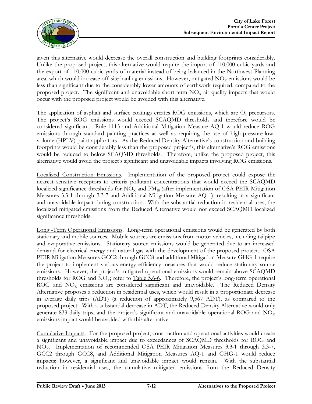

given this alternative would decrease the overall construction and building footprints considerably. Unlike the proposed project, this alternative would require the import of 110,000 cubic yards and the export of 110,000 cubic yards of material instead of being balanced in the Northwest Planning area, which would increase off-site hauling emissions. However, mitigated  $NO<sub>x</sub>$  emissions would be less than significant due to the considerably lower amounts of earthwork required, compared to the proposed project. The significant and unavoidable short-term  $NO<sub>x</sub>$  air quality impacts that would occur with the proposed project would be avoided with this alternative.

The application of asphalt and surface coatings creates ROG emissions, which are  $O<sub>3</sub>$  precursors. The project's ROG emissions would exceed SCAQMD thresholds and therefore would be considered significant. Rule 1113 and Additional Mitigation Measure AQ-1 would reduce ROG emissions through standard painting practices as well as requiring the use of high-pressure-lowvolume (HPLV) paint applicators. As the Reduced Density Alternative's construction and building footprints would be considerably less than the proposed project's, this alternative's ROG emissions would be reduced to below SCAQMD thresholds. Therefore, unlike the proposed project, this alternative would avoid the project's significant and unavoidable impacts involving ROG emissions.

Localized Construction Emissions. Implementation of the proposed project could expose the nearest sensitive receptors to criteria pollutant concentrations that would exceed the SCAQMD localized significance thresholds for  $NO<sub>x</sub>$  and  $PM<sub>10</sub>$  (after implementation of OSA PEIR Mitigation Measures 3.3-1 through 3.3-7 and Additional Mitigation Measure AQ-1), resulting in a significant and unavoidable impact during construction. With the substantial reduction in residential uses, the localized mitigated emissions from the Reduced Alternative would not exceed SCAQMD localized significance thresholds.

Long -Term Operational Emissions. Long-term operational emissions would be generated by both stationary and mobile sources. Mobile sources are emissions from motor vehicles, including tailpipe and evaporative emissions. Stationary source emissions would be generated due to an increased demand for electrical energy and natural gas with the development of the proposed project. OSA PEIR Mitigation Measures GCC2 through GCC8 and additional Mitigation Measure GHG-1 require the project to implement various energy efficiency measures that would reduce stationary source emissions. However, the project's mitigated operational emissions would remain above SCAQMD thresholds for ROG and  $NO<sub>x</sub>$ ; refer to Table 5.6-6. Therefore, the project's long-term operational ROG and  $NO<sub>x</sub>$  emissions are considered significant and unavoidable. The Reduced Density Alternative proposes a reduction in residential uses, which would result in a proportionate decrease in average daily trips (ADT) (a reduction of approximately 9,567 ADT), as compared to the proposed project. With a substantial decrease in ADT, the Reduced Density Alternative would only generate 833 daily trips, and the project's significant and unavoidable operational ROG and  $NO<sub>x</sub>$ emissions impact would be avoided with this alternative.

Cumulative Impacts. For the proposed project, construction and operational activities would create a significant and unavoidable impact due to exceedances of SCAQMD thresholds for ROG and NO<sub>x</sub>. Implementation of recommended OSA PEIR Mitigation Measures 3.3-1 through 3.3-7, GCC2 through GCC8, and Additional Mitigation Measures AQ-1 and GHG-1 would reduce impacts; however, a significant and unavoidable impact would remain. With the substantial reduction in residential uses, the cumulative mitigated emissions from the Reduced Density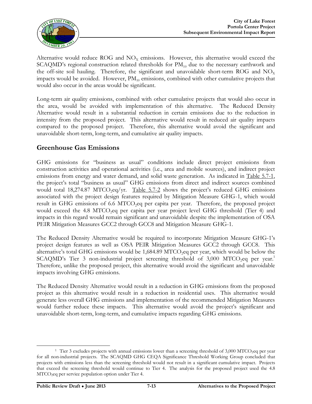

Alternative would reduce ROG and  $NO<sub>x</sub>$  emissions. However, this alternative would exceed the SCAQMD's regional construction related thresholds for  $PM_{10}$  due to the necessary earthwork and the off-site soil hauling. Therefore, the significant and unavoidable short-term ROG and  $NO<sub>x</sub>$ impacts would be avoided. However,  $\text{PM}_{10}$  emissions, combined with other cumulative projects that would also occur in the areas would be significant.

Long-term air quality emissions, combined with other cumulative projects that would also occur in the area, would be avoided with implementation of this alternative. The Reduced Density Alternative would result in a substantial reduction in certain emissions due to the reduction in intensity from the proposed project. This alternative would result in reduced air quality impacts compared to the proposed project. Therefore, this alternative would avoid the significant and unavoidable short-term, long-term, and cumulative air quality impacts.

#### **Greenhouse Gas Emissions**

GHG emissions for "business as usual" conditions include direct project emissions from construction activities and operational activities (i.e., area and mobile sources), and indirect project emissions from energy and water demand, and solid waste generation. As indicated in Table 5.7-1, the project's total "business as usual" GHG emissions from direct and indirect sources combined would total 18,274.87 MTCO<sub>2</sub>eq/yr. Table 5.7-2 shows the project's reduced GHG emissions associated with the project design features required by Mitigation Measure GHG-1, which would result in GHG emissions of 6.6 MTCO<sub>2</sub>eq per capita per year. Therefore, the proposed project would exceed the 4.8 MTCO<sub>2</sub>eq per capita per year project level GHG threshold (Tier 4) and impacts in this regard would remain significant and unavoidable despite the implementation of OSA PEIR Mitigation Measures GCC2 through GCC8 and Mitigation Measure GHG-1.

The Reduced Density Alternative would be required to incorporate Mitigation Measure GHG-1's project design features as well as OSA PEIR Mitigation Measures GCC2 through GCC8. This alternative's total GHG emissions would be 1,684.89 MTCO<sub>2</sub>eq per year, which would be below the  $SCAQMD's$  Tier 3 non-industrial project screening threshold of 3,000 MTCO<sub>2</sub>eq per year.<sup>1</sup> Therefore, unlike the proposed project, this alternative would avoid the significant and unavoidable impacts involving GHG emissions.

The Reduced Density Alternative would result in a reduction in GHG emissions from the proposed project as this alternative would result in a reduction in residential uses. This alternative would generate less overall GHG emissions and implementation of the recommended Mitigation Measures would further reduce these impacts. This alternative would avoid the project's significant and unavoidable short-term, long-term, and cumulative impacts regarding GHG emissions.

<sup>&</sup>lt;sup>1</sup> Tier 3 excludes projects with annual emissions lower than a screening threshold of  $3,000$  MTCO<sub>2</sub>eq per year for all non-industrial projects. The SCAQMD GHG CEQA Significance Threshold Working Group concluded that projects with emissions less than the screening threshold would not result in a significant cumulative impact. Projects that exceed the screening threshold would continue to Tier 4. The analysis for the proposed project used the 4.8 MTCO2eq per service population option under Tier 4.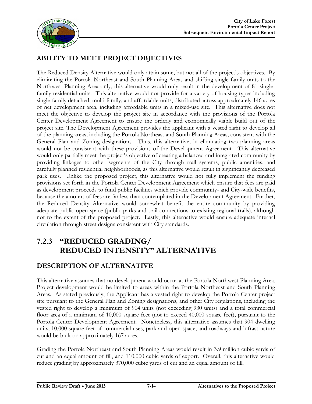

### **ABILITY TO MEET PROJECT OBJECTIVES**

The Reduced Density Alternative would only attain some, but not all of the project's objectives. By eliminating the Portola Northeast and South Planning Areas and shifting single-family units to the Northwest Planning Area only, this alternative would only result in the development of 81 singlefamily residential units. This alternative would not provide for a variety of housing types including single-family detached, multi-family, and affordable units, distributed across approximately 146 acres of net development area, including affordable units in a mixed-use site. This alternative does not meet the objective to develop the project site in accordance with the provisions of the Portola Center Development Agreement to ensure the orderly and economically viable build out of the project site. The Development Agreement provides the applicant with a vested right to develop all of the planning areas, including the Portola Northeast and South Planning Areas, consistent with the General Plan and Zoning designations. Thus, this alternative, in eliminating two planning areas would not be consistent with these provisions of the Development Agreement. This alternative would only partially meet the project's objective of creating a balanced and integrated community by providing linkages to other segments of the City through trail systems, public amenities, and carefully planned residential neighborhoods, as this alternative would result in significantly decreased park uses. Unlike the proposed project, this alternative would not fully implement the funding provisions set forth in the Portola Center Development Agreement which ensure that fees are paid as development proceeds to fund public facilities which provide community- and City-wide benefits, because the amount of fees are far less than contemplated in the Development Agreement. Further, the Reduced Density Alternative would somewhat benefit the entire community by providing adequate public open space (public parks and trail connections to existing regional trails), although not to the extent of the proposed project. Lastly, this alternative would ensure adequate internal circulation through street designs consistent with City standards.

## **7.2.3 "REDUCED GRADING/ REDUCED INTENSITY" ALTERNATIVE**

#### **DESCRIPTION OF ALTERNATIVE**

This alternative assumes that no development would occur at the Portola Northwest Planning Area. Project development would be limited to areas within the Portola Northeast and South Planning Areas*.* As stated previously, the Applicant has a vested right to develop the Portola Center project site pursuant to the General Plan and Zoning designations, and other City regulations, including the vested right to develop a minimum of 904 units (not exceeding 930 units) and a total commercial floor area of a minimum of 10,000 square feet (not to exceed 40,000 square feet), pursuant to the Portola Center Development Agreement. Nonetheless, this alternative assumes that 904 dwelling units, 10,000 square feet of commercial uses, park and open space, and roadways and infrastructure would be built on approximately 167 acres.

Grading the Portola Northeast and South Planning Areas would result in 3.9 million cubic yards of cut and an equal amount of fill, and 110,000 cubic yards of export. Overall, this alternative would reduce grading by approximately 370,000 cubic yards of cut and an equal amount of fill.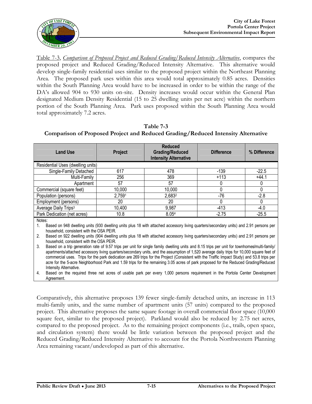

Table 7-3, *Comparison of Proposed Project and Reduced Grading/Reduced Intensity Alternative*, compares the proposed project and Reduced Grading/Reduced Intensity Alternative. This alternative would develop single-family residential uses similar to the proposed project within the Northeast Planning Area. The proposed park uses within this area would total approximately 0.85 acres. Densities within the South Planning Area would have to be increased in order to be within the range of the DA's allowed 904 to 930 units on-site. Density increases would occur within the General Plan designated Medium Density Residential (15 to 25 dwelling units per net acre) within the northern portion of the South Planning Area. Park uses proposed within the South Planning Area would total approximately 7.2 acres.

**Table 7-3 Comparison of Proposed Project and Reduced Grading/Reduced Intensity Alternative**

| <b>Land Use</b>                   | Project | <b>Reduced</b><br><b>Grading/Reduced</b><br><b>Intensity Alternative</b> | <b>Difference</b> | % Difference |
|-----------------------------------|---------|--------------------------------------------------------------------------|-------------------|--------------|
| Residential Uses (dwelling units) |         |                                                                          |                   |              |
| Single-Family Detached            | 617     | 478                                                                      | $-139$            | $-22.5$      |
| Multi-Family                      | 256     | 369                                                                      | $+113$            | $+44.1$      |
| Apartment                         | 57      | 57                                                                       |                   |              |
| Commercial (square feet)          | 10,000  | 10,000                                                                   |                   |              |
| Population (persons)              | 2,7591  | 2,6832                                                                   | $-76$             | $-2.8$       |
| Employment (persons)              | 20      | 20                                                                       |                   | 0            |
| Average Daily Trips <sup>3</sup>  | 10,400  | 9,987                                                                    | -413              | -4.0         |
| Park Dedication (net acres)       | 10.8    | 8.054                                                                    | $-2.75$           | $-25.5$      |
| Notes:                            |         |                                                                          |                   |              |

1. Based on 948 dwelling units (930 dwelling units plus 18 with attached accessory living quarters/secondary units) and 2.91 persons per household, consistent with the OSA PEIR.

2. Based on 922 dwelling units (904 dwelling units plus 18 with attached accessory living quarters/secondary units) and 2.91 persons per household, consistent with the OSA PEIR.

3. Based on a trip generation rate of 9.57 trips per unit for single family dwelling units and 8.15 trips per unit for townhomes/multi-family/ apartments/attached accessory living quarters/secondary units, and the assumption of 1,520 average daily trips for 10,000 square feet of commercial uses. Trips for the park dedication are 269 trips for the Project (Consistent with the Traffic Impact Study) and 53.8 trips per acre for the 5-acre Neighborhood Park and 1.59 trips for the remaining 3.05 acres of park proposed for the Reduced Grading/Reduced Intensity Alternative.

4. Based on the required three net acres of usable park per every 1,000 persons requirement in the Portola Center Development Agreement.

Comparatively, this alternative proposes 139 fewer single-family detached units, an increase in 113 multi-family units, and the same number of apartment units (57 units) compared to the proposed project. This alternative proposes the same square footage in overall commercial floor space (10,000 square feet, similar to the proposed project). Parkland would also be reduced by 2.75 net acres, compared to the proposed project. As to the remaining project components (i.e., trails, open space, and circulation system) there would be little variation between the proposed project and the Reduced Grading/Reduced Intensity Alternative to account for the Portola Northwestern Planning Area remaining vacant/undeveloped as part of this alternative.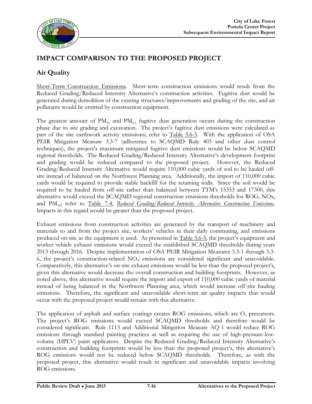

#### **IMPACT COMPARISON TO THE PROPOSED PROJECT**

#### **Air Quality**

Short-Term Construction Emissions. Short-term construction emissions would result from the Reduced Grading/Reduced Intensity Alternative's construction activities. Fugitive dust would be generated during demolition of the existing structures/improvements and grading of the site, and air pollutants would be emitted by construction equipment.

The greatest amount of  $PM_{10}$  and  $PM_{2.5}$  fugitive dust generation occurs during the construction phase due to site grading and excavation. The project's fugitive dust emissions were calculated as part of the site earthwork activity emissions; refer to Table 5.6-5. With the application of OSA PEIR Mitigation Measure 3.3-7 (adherence to SCAQMD Rule 403 and other dust control techniques), the project's maximum mitigated fugitive dust emissions would be below SCAQMD regional thresholds. The Reduced Grading/Reduced Intensity Alternative's development footprint and grading would be reduced compared to the proposed project. However, the Reduced Grading/Reduced Intensity Alternative would require 110,000 cubic yards of soil to be hauled offsite instead of balanced on the Northwest Planning area. Additionally, the import of 110,000 cubic yards would be required to provide stable backfill for the retaining walls. Since the soil would be required to be hauled from off-site rather than balanced between TTM's 15353 and 17300, this alternative would exceed the SCAQMD regional construction emissions thresholds for ROG, NOx, and PM<sub>10</sub>; refer to Table 7-4, *Reduced Grading/Reduced Intensity Alternative Construction Emissions*. Impacts in this regard would be greater than the proposed project.

Exhaust emissions from construction activities are generated by the transport of machinery and materials to and from the project site, workers' vehicles in their daily commuting, and emissions produced on-site as the equipment is used. As presented in Table 5.6-5, the project's equipment and worker vehicle exhaust emissions would exceed the established SCAQMD thresholds during years 2013 through 2016. Despite implementation of OSA PEIR Mitigation Measures 3.3-1 through 3.3- 6, the project's construction-related  $NO<sub>x</sub>$  emissions are considered significant and unavoidable. Comparatively, this alternative's on-site exhaust emissions would be less than the proposed project's, given this alternative would decrease the overall construction and building footprints. However, as noted above, this alternative would require the import and export of 110,000 cubic yards of material instead of being balanced in the Northwest Planning area, which would increase off-site hauling emissions. Therefore, the significant and unavoidable short-term air quality impacts that would occur with the proposed project would remain with this alternative.

The application of asphalt and surface coatings creates ROG emissions, which are  $O<sub>3</sub>$  precursors. The project's ROG emissions would exceed SCAQMD thresholds and therefore would be considered significant. Rule 1113 and Additional Mitigation Measure AQ-1 would reduce ROG emissions through standard painting practices as well as requiring the use of high-pressure-lowvolume (HPLV) paint applicators. Despite the Reduced Grading/Reduced Intensity Alternative's construction and building footprints would be less than the proposed project's, this alternative's ROG emissions would not be reduced below SCAQMD thresholds. Therefore, as with the proposed project, this alternative would result in significant and unavoidable impacts involving ROG emissions.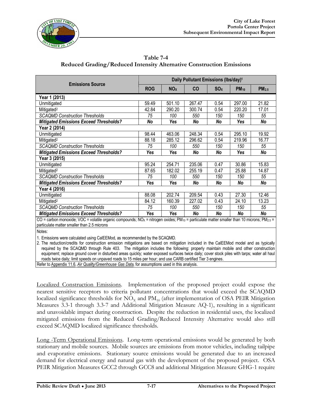

**Table 7-4 Reduced Grading/Reduced Intensity Alternative Construction Emissions**

|                                                                                                                                                                                                                      | Daily Pollutant Emissions (Ibs/day) <sup>1</sup> |                       |           |                 |           |                   |  |
|----------------------------------------------------------------------------------------------------------------------------------------------------------------------------------------------------------------------|--------------------------------------------------|-----------------------|-----------|-----------------|-----------|-------------------|--|
| <b>Emissions Source</b>                                                                                                                                                                                              | <b>ROG</b>                                       | <b>NO<sub>x</sub></b> | <b>CO</b> | SO <sub>X</sub> | $PM_{10}$ | PM <sub>2.5</sub> |  |
| Year 1 (2013)                                                                                                                                                                                                        |                                                  |                       |           |                 |           |                   |  |
| Unmitigated                                                                                                                                                                                                          | 59.49                                            | 501.10                | 267.47    | 0.54            | 297.00    | 21.82             |  |
| Mitigated <sup>2</sup>                                                                                                                                                                                               | 42.84                                            | 290.20                | 300.74    | 0.54            | 220.20    | 17.01             |  |
| <b>SCAOMD Construction Thresholds</b>                                                                                                                                                                                | 75                                               | 100                   | 550       | 150             | 150       | 55                |  |
| <b>Mitigated Emissions Exceed Thresholds?</b>                                                                                                                                                                        | No                                               | Yes                   | No        | No              | Yes       | No                |  |
| Year 2 (2014)                                                                                                                                                                                                        |                                                  |                       |           |                 |           |                   |  |
| Unmitigated                                                                                                                                                                                                          | 98.44                                            | 463.06                | 248.34    | 0.54            | 295.10    | 19.92             |  |
| Mitigated <sup>2</sup>                                                                                                                                                                                               | 88.18                                            | 285.12                | 296.62    | 0.54            | 219.96    | 16.77             |  |
| <b>SCAQMD Construction Thresholds</b>                                                                                                                                                                                | 75                                               | 100                   | 550       | 150             | 150       | 55                |  |
| <b>Mitigated Emissions Exceed Thresholds?</b>                                                                                                                                                                        | Yes                                              | Yes                   | No        | No              | Yes       | No                |  |
| Year 3 (2015)                                                                                                                                                                                                        |                                                  |                       |           |                 |           |                   |  |
| Unmitigated                                                                                                                                                                                                          | 95.24                                            | 254.71                | 235.06    | 0.47            | 30.86     | 15.83             |  |
| Mitigated <sup>2</sup>                                                                                                                                                                                               | 87.65                                            | 182.02                | 255.19    | 0.47            | 25.88     | 14.87             |  |
| <b>SCAQMD Construction Thresholds</b>                                                                                                                                                                                | 75                                               | 100                   | 550       | 150             | 150       | 55                |  |
| <b>Mitigated Emissions Exceed Thresholds?</b>                                                                                                                                                                        | <b>Yes</b>                                       | Yes                   | No        | No              | No        | No                |  |
| Year 4 (2016)                                                                                                                                                                                                        |                                                  |                       |           |                 |           |                   |  |
| Unmitigated                                                                                                                                                                                                          | 88.08                                            | 202.74                | 209.54    | 0.43            | 27.30     | 12.46             |  |
| Mitigated <sup>2</sup>                                                                                                                                                                                               | 84.12                                            | 160.39                | 227.02    | 0.43            | 24.10     | 13.23             |  |
| <b>SCAQMD Construction Thresholds</b>                                                                                                                                                                                | 75                                               | 100                   | 550       | 150             | 150       | 55                |  |
| <b>Mitigated Emissions Exceed Thresholds?</b>                                                                                                                                                                        | Yes                                              | Yes                   | No        | No              | No        | No                |  |
| CO = carbon monoxide; VOC = volatile organic compounds; NOx = nitrogen oxides; PM <sub>10</sub> = particulate matter smaller than 10 microns; PM <sub>2.5</sub> =<br>particulate matter smaller than 2.5 microns     |                                                  |                       |           |                 |           |                   |  |
| Notes:                                                                                                                                                                                                               |                                                  |                       |           |                 |           |                   |  |
| 1. Emissions were calculated using CalEEMod, as recommended by the SCAQMD.<br>2. The reduction/credits for construction emission mitigations are based on mitigation included in the CaIFFMod model and as typically |                                                  |                       |           |                 |           |                   |  |

2. The reduction/credits for construction emission mitigations are based on mitigation included in the CalEEMod model and as typically required by the SCAQMD through Rule 403. The mitigation includes the following: properly maintain mobile and other construction equipment; replace ground cover in disturbed areas quickly; water exposed surfaces twice daily; cover stock piles with tarps; water all haul roads twice daily; limit speeds on unpaved roads to 15 miles per hour; and use CARB certified Tier 3 engines. Refer to Appendix 11.6, *Air Quality/Greenhouse Gas Data*, for assumptions used in this analysis.

Localized Construction Emissions. Implementation of the proposed project could expose the nearest sensitive receptors to criteria pollutant concentrations that would exceed the SCAQMD localized significance thresholds for  $NO<sub>x</sub>$  and  $PM<sub>10</sub>$  (after implementation of OSA PEIR Mitigation Measures 3.3-1 through 3.3-7 and Additional Mitigation Measure AQ-1), resulting in a significant and unavoidable impact during construction. Despite the reduction in residential uses, the localized mitigated emissions from the Reduced Grading/Reduced Intensity Alternative would also still exceed SCAQMD localized significance thresholds.

Long -Term Operational Emissions. Long-term operational emissions would be generated by both stationary and mobile sources. Mobile sources are emissions from motor vehicles, including tailpipe and evaporative emissions. Stationary source emissions would be generated due to an increased demand for electrical energy and natural gas with the development of the proposed project. OSA PEIR Mitigation Measures GCC2 through GCC8 and additional Mitigation Measure GHG-1 require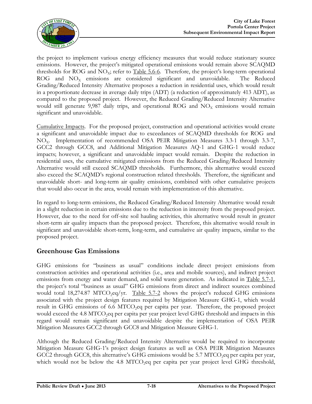

the project to implement various energy efficiency measures that would reduce stationary source emissions. However, the project's mitigated operational emissions would remain above SCAQMD thresholds for ROG and  $NO<sub>x</sub>$ ; refer to Table 5.6-6. Therefore, the project's long-term operational ROG and  $NO<sub>x</sub>$  emissions are considered significant and unavoidable. The Reduced Grading/Reduced Intensity Alternative proposes a reduction in residential uses, which would result in a proportionate decrease in average daily trips (ADT) (a reduction of approximately 413 ADT), as compared to the proposed project. However, the Reduced Grading/Reduced Intensity Alternative would still generate 9,987 daily trips, and operational ROG and  $NO<sub>x</sub>$  emissions would remain significant and unavoidable.

Cumulative Impacts. For the proposed project, construction and operational activities would create a significant and unavoidable impact due to exceedances of SCAQMD thresholds for ROG and NO<sub>x</sub>. Implementation of recommended OSA PEIR Mitigation Measures 3.3-1 through 3.3-7, GCC2 through GCC8, and Additional Mitigation Measures AQ-1 and GHG-1 would reduce impacts; however, a significant and unavoidable impact would remain. Despite the reduction in residential uses, the cumulative mitigated emissions from the Reduced Grading/Reduced Intensity Alternative would still exceed SCAQMD thresholds. Furthermore, this alternative would exceed also exceed the SCAQMD's regional construction related thresholds. Therefore, the significant and unavoidable short- and long-term air quality emissions, combined with other cumulative projects that would also occur in the area, would remain with implementation of this alternative.

In regard to long-term emissions, the Reduced Grading/Reduced Intensity Alternative would result in a slight reduction in certain emissions due to the reduction in intensity from the proposed project. However, due to the need for off-site soil hauling activities, this alternative would result in greater short-term air quality impacts than the proposed project. Therefore, this alternative would result in significant and unavoidable short-term, long-term, and cumulative air quality impacts, similar to the proposed project.

#### **Greenhouse Gas Emissions**

GHG emissions for "business as usual" conditions include direct project emissions from construction activities and operational activities (i.e., area and mobile sources), and indirect project emissions from energy and water demand, and solid waste generation. As indicated in Table 5.7-1, the project's total "business as usual" GHG emissions from direct and indirect sources combined would total 18,274.87 MTCO<sub>2</sub>eq/yr. Table 5.7-2 shows the project's reduced GHG emissions associated with the project design features required by Mitigation Measure GHG-1, which would result in GHG emissions of 6.6 MTCO<sub>2</sub>eq per capita per year. Therefore, the proposed project would exceed the 4.8 MTCO<sub>2</sub>eq per capita per year project level GHG threshold and impacts in this regard would remain significant and unavoidable despite the implementation of OSA PEIR Mitigation Measures GCC2 through GCC8 and Mitigation Measure GHG-1.

Although the Reduced Grading/Reduced Intensity Alternative would be required to incorporate Mitigation Measure GHG-1's project design features as well as OSA PEIR Mitigation Measures GCC2 through GCC8, this alternative's GHG emissions would be 5.7 MTCO<sub>2</sub>eq per capita per year, which would not be below the 4.8 MTCO<sub>2</sub>eq per capita per year project level GHG threshold,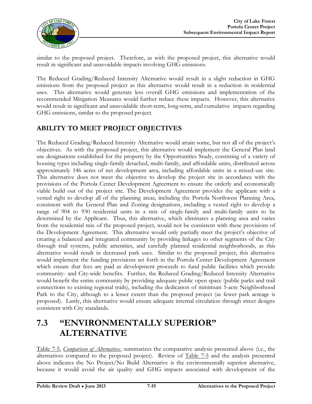

similar to the proposed project. Therefore, as with the proposed project, this alternative would result in significant and unavoidable impacts involving GHG emissions.

The Reduced Grading/Reduced Intensity Alternative would result in a slight reduction in GHG emissions from the proposed project as this alternative would result in a reduction in residential uses. This alternative would generate less overall GHG emissions and implementation of the recommended Mitigation Measures would further reduce these impacts. However, this alternative would result in significant and unavoidable short-term, long-term, and cumulative impacts regarding GHG emissions, similar to the proposed project.

#### **ABILITY TO MEET PROJECT OBJECTIVES**

The Reduced Grading/Reduced Intensity Alternative would attain some, but not all of the project's objectives. As with the proposed project, this alternative would implement the General Plan land use designations established for the property by the Opportunities Study, consisting of a variety of housing types including single-family detached, multi-family, and affordable units, distributed across approximately 146 acres of net development area, including affordable units in a mixed-use site. This alternative does not meet the objective to develop the project site in accordance with the provisions of the Portola Center Development Agreement to ensure the orderly and economically viable build out of the project site. The Development Agreement provides the applicant with a vested right to develop all of the planning areas, including the Portola Northwest Planning Area, consistent with the General Plan and Zoning designations, including a vested right to develop a range of 904 to 930 residential units in a mix of single-family and multi-family units to be determined by the Applicant. Thus, this alternative, which eliminates a planning area and varies from the residential mix of the proposed project, would not be consistent with these provisions of the Development Agreement. This alternative would only partially meet the project's objective of creating a balanced and integrated community by providing linkages to other segments of the City through trail systems, public amenities, and carefully planned residential neighborhoods, as this alternative would result in decreased park uses. Similar to the proposed project, this alternative would implement the funding provisions set forth in the Portola Center Development Agreement which ensure that fees are paid as development proceeds to fund public facilities which provide community- and City-wide benefits. Further, the Reduced Grading/Reduced Intensity Alternative would benefit the entire community by providing adequate public open space (public parks and trail connections to existing regional trails), including the dedication of minimum 5-acre Neighborhood Park to the City, although to a lesser extent than the proposed project (as fewer park acreage is proposed). Lastly, this alternative would ensure adequate internal circulation through street designs consistent with City standards.

## **7.3 "ENVIRONMENTALLY SUPERIOR" ALTERNATIVE**

Table 7-5, *Comparison of Alternatives*, summarizes the comparative analysis presented above (i.e., the alternatives compared to the proposed project). Review of Table 7-5 and the analysis presented above indicates the No Project/No Build Alternative is the environmentally superior alternative, because it would avoid the air quality and GHG impacts associated with development of the